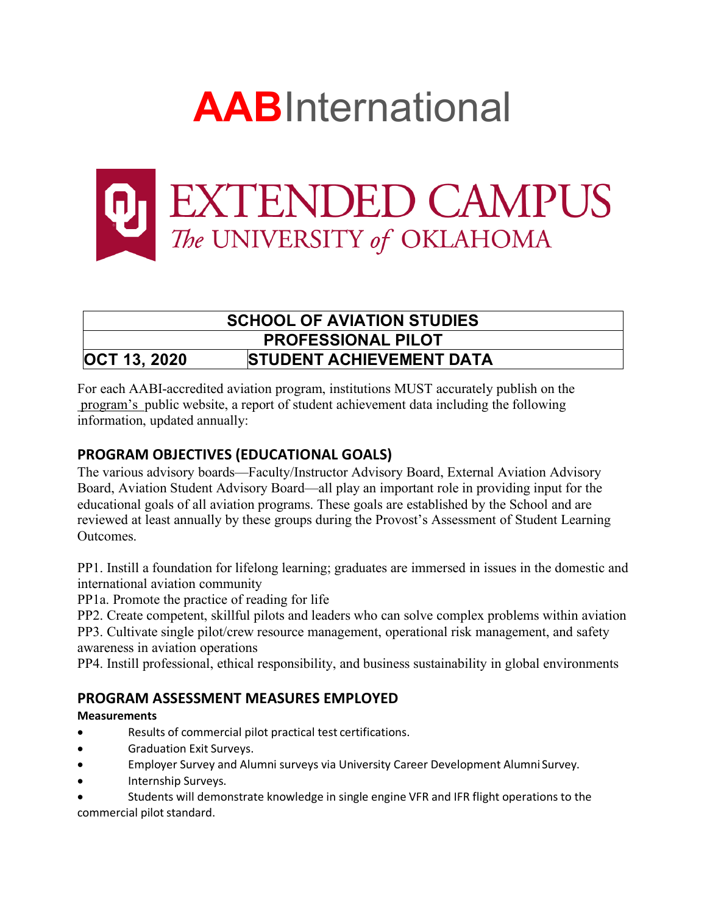



# **SCHOOL OF AVIATION STUDIES PROFESSIONAL PILOT OCT 13, 2020 STUDENT ACHIEVEMENT DATA**

For each AABI-accredited aviation program, institutions MUST accurately publish on the program's public website, a report of student achievement data including the following information, updated annually:

# **PROGRAM OBJECTIVES (EDUCATIONAL GOALS)**

The various advisory boards—Faculty/Instructor Advisory Board, External Aviation Advisory Board, Aviation Student Advisory Board—all play an important role in providing input for the educational goals of all aviation programs. These goals are established by the School and are reviewed at least annually by these groups during the Provost's Assessment of Student Learning Outcomes.

PP1. Instill a foundation for lifelong learning; graduates are immersed in issues in the domestic and international aviation community

PP1a. Promote the practice of reading for life

PP2. Create competent, skillful pilots and leaders who can solve complex problems within aviation PP3. Cultivate single pilot/crew resource management, operational risk management, and safety awareness in aviation operations

PP4. Instill professional, ethical responsibility, and business sustainability in global environments

# **PROGRAM ASSESSMENT MEASURES EMPLOYED**

### **Measurements**

- Results of commercial pilot practical test certifications.
- Graduation Exit Surveys.
- Employer Survey and Alumni surveys via University Career Development Alumni Survey.
- Internship Surveys.
- Students will demonstrate knowledge in single engine VFR and IFR flight operations to the commercial pilot standard.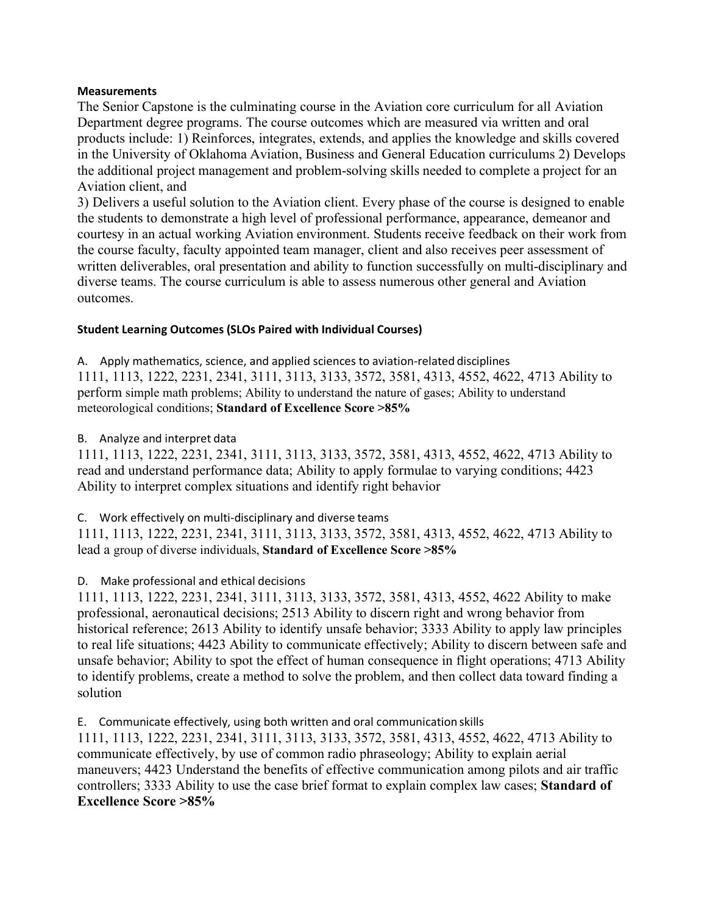#### **Measurements**

The Senior Capstone is the culminating course in the Aviation core curriculum for all Aviation Department degree programs. The course outcomes which are measured via written and oral products include: 1) Reinforces, integrates, extends, and applies the knowledge and skills covered in the University of Oklahoma Aviation, Business and General Education curriculums 2) Develops the additional project management and problem-solving skills needed to complete a project for an Aviation client, and

3) Delivers a useful solution to the Aviation client. Every phase of the course is designed to enable the students to demonstrate a high level of professional performance, appearance, demeanor and courtesy in an actual working Aviation environment. Students receive feedback on their work from the course faculty, faculty appointed team manager, client and also receives peer assessment of written deliverables, oral presentation and ability to function successfully on multi-disciplinary and diverse teams. The course curriculum is able to assess numerous other general and Aviation outcomes.

### **Student Learning Outcomes (SLOs Paired with Individual Courses)**

A. Apply mathematics, science, and applied sciences to aviation-related disciplines 1111, 1113, 1222, 2231, 2341, 3111, 3113, 3133, 3572, 3581, 4313, 4552, 4622, 4713 Ability to perform simple math problems; Ability to understand the nature of gases; Ability to understand meteorological conditions; **Standard of Excellence Score >85%**

### B. Analyze and interpret data

1111, 1113, 1222, 2231, 2341, 3111, 3113, 3133, 3572, 3581, 4313, 4552, 4622, 4713 Ability to read and understand performance data; Ability to apply formulae to varying conditions; 4423 Ability to interpret complex situations and identify right behavior

C. Work effectively on multi-disciplinary and diverse teams

1111, 1113, 1222, 2231, 2341, 3111, 3113, 3133, 3572, 3581, 4313, 4552, 4622, 4713 Ability to lead a group of diverse individuals, **Standard of Excellence Score >85%**

### D. Make professional and ethical decisions

1111, 1113, 1222, 2231, 2341, 3111, 3113, 3133, 3572, 3581, 4313, 4552, 4622 Ability to make professional, aeronautical decisions; 2513 Ability to discern right and wrong behavior from historical reference; 2613 Ability to identify unsafe behavior; 3333 Ability to apply law principles to real life situations; 4423 Ability to communicate effectively; Ability to discern between safe and unsafe behavior; Ability to spot the effect of human consequence in flight operations; 4713 Ability to identify problems, create a method to solve the problem, and then collect data toward finding a solution

E. Communicate effectively, using both written and oral communication skills

1111, 1113, 1222, 2231, 2341, 3111, 3113, 3133, 3572, 3581, 4313, 4552, 4622, 4713 Ability to communicate effectively, by use of common radio phraseology; Ability to explain aerial maneuvers; 4423 Understand the benefits of effective communication among pilots and air traffic controllers; 3333 Ability to use the case brief format to explain complex law cases; **Standard of Excellence Score >85%**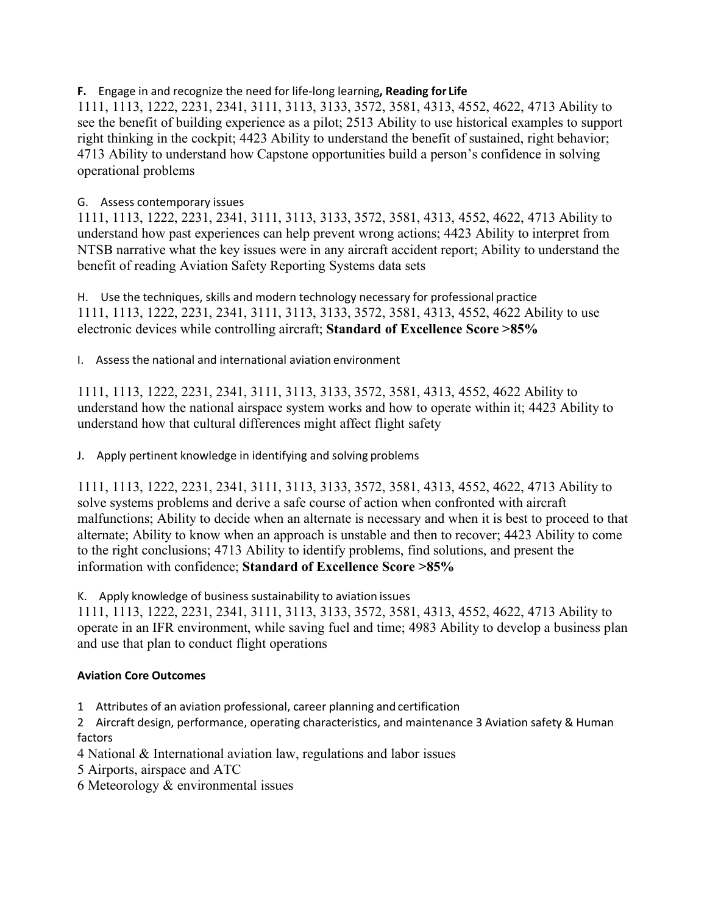### **F.** Engage in and recognize the need for life-long learning**, Reading for Life**

1111, 1113, 1222, 2231, 2341, 3111, 3113, 3133, 3572, 3581, 4313, 4552, 4622, 4713 Ability to see the benefit of building experience as a pilot; 2513 Ability to use historical examples to support right thinking in the cockpit; 4423 Ability to understand the benefit of sustained, right behavior; 4713 Ability to understand how Capstone opportunities build a person's confidence in solving operational problems

### G. Assess contemporary issues

1111, 1113, 1222, 2231, 2341, 3111, 3113, 3133, 3572, 3581, 4313, 4552, 4622, 4713 Ability to understand how past experiences can help prevent wrong actions; 4423 Ability to interpret from NTSB narrative what the key issues were in any aircraft accident report; Ability to understand the benefit of reading Aviation Safety Reporting Systems data sets

H. Use the techniques, skills and modern technology necessary for professional practice 1111, 1113, 1222, 2231, 2341, 3111, 3113, 3133, 3572, 3581, 4313, 4552, 4622 Ability to use electronic devices while controlling aircraft; **Standard of Excellence Score >85%**

I. Assess the national and international aviation environment

1111, 1113, 1222, 2231, 2341, 3111, 3113, 3133, 3572, 3581, 4313, 4552, 4622 Ability to understand how the national airspace system works and how to operate within it; 4423 Ability to understand how that cultural differences might affect flight safety

J. Apply pertinent knowledge in identifying and solving problems

1111, 1113, 1222, 2231, 2341, 3111, 3113, 3133, 3572, 3581, 4313, 4552, 4622, 4713 Ability to solve systems problems and derive a safe course of action when confronted with aircraft malfunctions; Ability to decide when an alternate is necessary and when it is best to proceed to that alternate; Ability to know when an approach is unstable and then to recover; 4423 Ability to come to the right conclusions; 4713 Ability to identify problems, find solutions, and present the information with confidence; **Standard of Excellence Score >85%**

K. Apply knowledge of business sustainability to aviation issues

1111, 1113, 1222, 2231, 2341, 3111, 3113, 3133, 3572, 3581, 4313, 4552, 4622, 4713 Ability to operate in an IFR environment, while saving fuel and time; 4983 Ability to develop a business plan and use that plan to conduct flight operations

### **Aviation Core Outcomes**

- 1 Attributes of an aviation professional, career planning and certification
- 2 Aircraft design, performance, operating characteristics, and maintenance 3 Aviation safety & Human factors
- 4 National & International aviation law, regulations and labor issues
- 5 Airports, airspace and ATC
- 6 Meteorology & environmental issues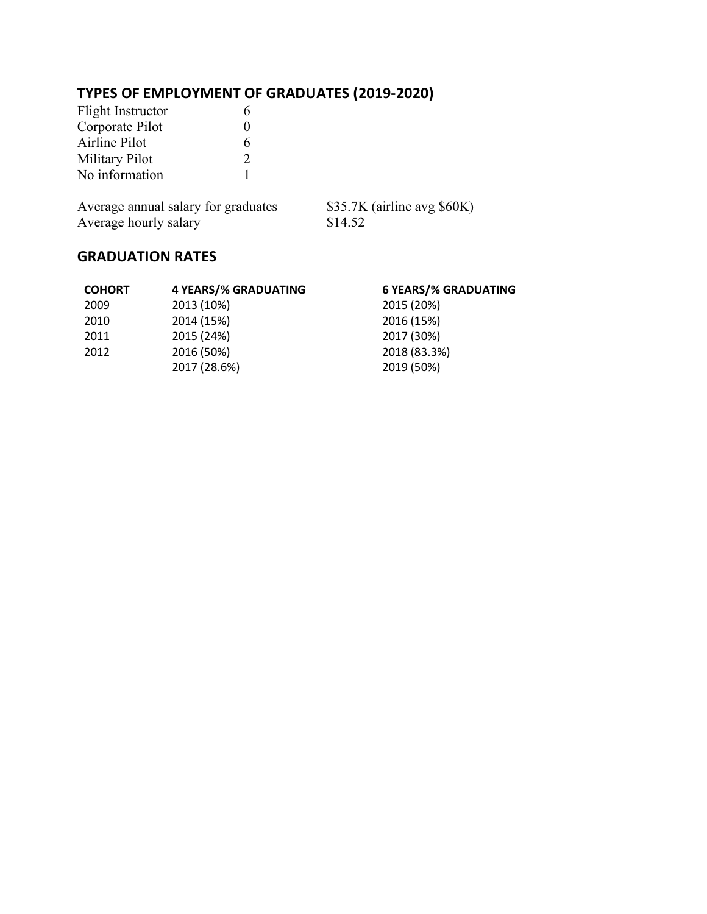# **TYPES OF EMPLOYMENT OF GRADUATES (2019-2020)**

| Flight Instructor | 6 |
|-------------------|---|
| Corporate Pilot   | 0 |
| Airline Pilot     | 6 |
| Military Pilot    | 2 |
| No information    |   |

Average annual salary for graduates \$35.7K (airline avg \$60K) Average hourly salary \$14.52

| <b>COHORT</b> | <b>4 YEARS/% GRADUATING</b> | <b>6 YEARS/% GRADUATING</b> |
|---------------|-----------------------------|-----------------------------|
| 2009          | 2013 (10%)                  | 2015 (20%)                  |
| 2010          | 2014 (15%)                  | 2016 (15%)                  |
| 2011          | 2015 (24%)                  | 2017 (30%)                  |
| 2012          | 2016 (50%)                  | 2018 (83.3%)                |
|               | 2017 (28.6%)                | 2019 (50%)                  |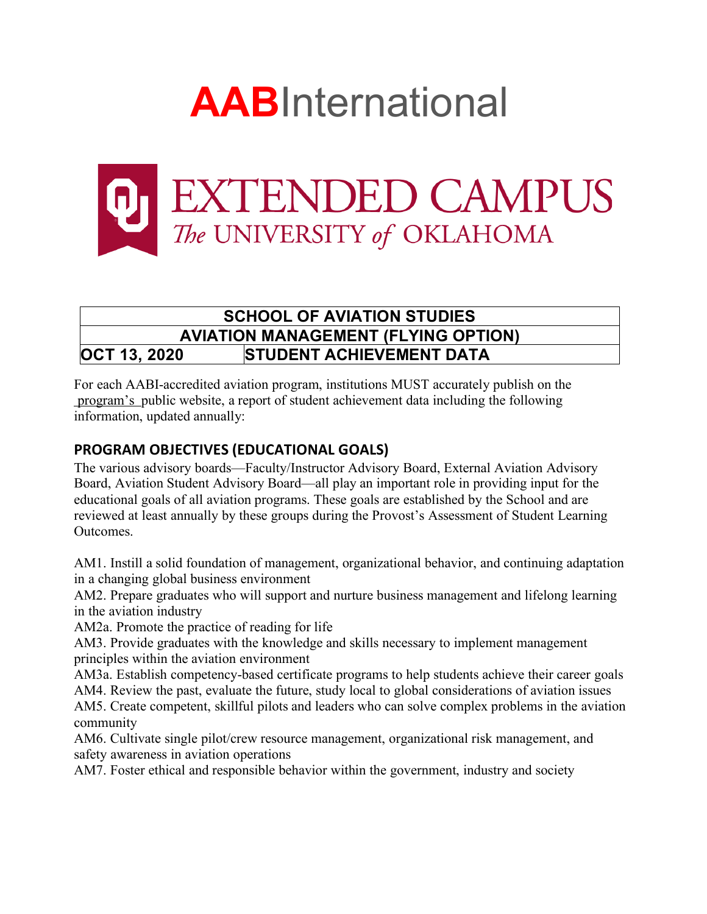



# **SCHOOL OF AVIATION STUDIES AVIATION MANAGEMENT (FLYING OPTION) OCT 13, 2020 STUDENT ACHIEVEMENT DATA**

For each AABI-accredited aviation program, institutions MUST accurately publish on the program's public website, a report of student achievement data including the following information, updated annually:

# **PROGRAM OBJECTIVES (EDUCATIONAL GOALS)**

The various advisory boards—Faculty/Instructor Advisory Board, External Aviation Advisory Board, Aviation Student Advisory Board—all play an important role in providing input for the educational goals of all aviation programs. These goals are established by the School and are reviewed at least annually by these groups during the Provost's Assessment of Student Learning Outcomes.

AM1. Instill a solid foundation of management, organizational behavior, and continuing adaptation in a changing global business environment

AM2. Prepare graduates who will support and nurture business management and lifelong learning in the aviation industry

AM2a. Promote the practice of reading for life

AM3. Provide graduates with the knowledge and skills necessary to implement management principles within the aviation environment

AM3a. Establish competency-based certificate programs to help students achieve their career goals

AM4. Review the past, evaluate the future, study local to global considerations of aviation issues AM5. Create competent, skillful pilots and leaders who can solve complex problems in the aviation community

AM6. Cultivate single pilot/crew resource management, organizational risk management, and safety awareness in aviation operations

AM7. Foster ethical and responsible behavior within the government, industry and society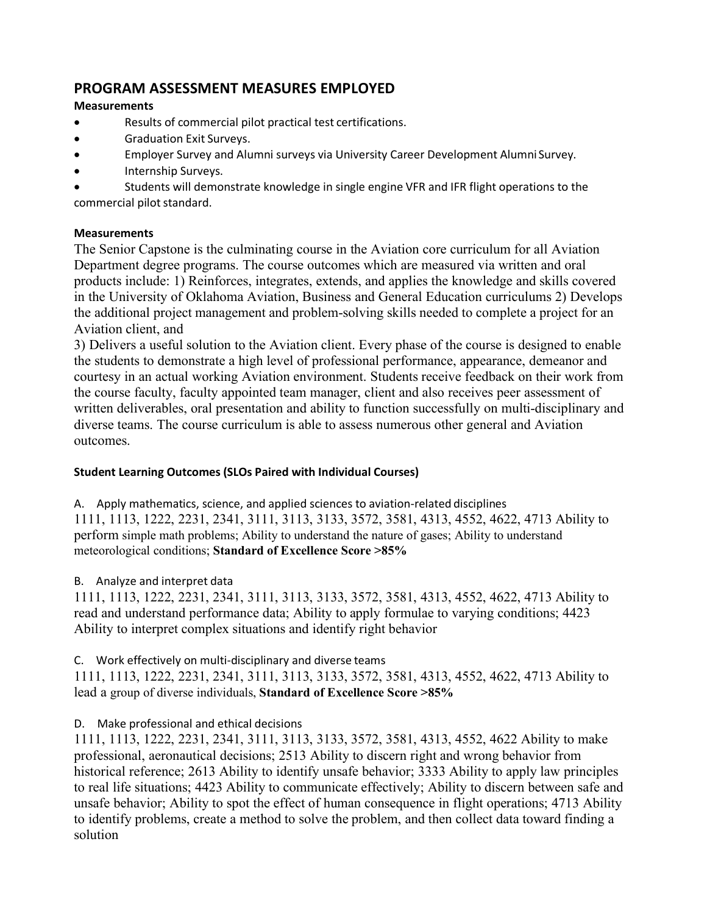## **PROGRAM ASSESSMENT MEASURES EMPLOYED**

### **Measurements**

- Results of commercial pilot practical test certifications.
- Graduation Exit Surveys.
- Employer Survey and Alumni surveys via University Career Development Alumni Survey.
- Internship Surveys.

• Students will demonstrate knowledge in single engine VFR and IFR flight operations to the commercial pilot standard.

### **Measurements**

The Senior Capstone is the culminating course in the Aviation core curriculum for all Aviation Department degree programs. The course outcomes which are measured via written and oral products include: 1) Reinforces, integrates, extends, and applies the knowledge and skills covered in the University of Oklahoma Aviation, Business and General Education curriculums 2) Develops the additional project management and problem-solving skills needed to complete a project for an Aviation client, and

3) Delivers a useful solution to the Aviation client. Every phase of the course is designed to enable the students to demonstrate a high level of professional performance, appearance, demeanor and courtesy in an actual working Aviation environment. Students receive feedback on their work from the course faculty, faculty appointed team manager, client and also receives peer assessment of written deliverables, oral presentation and ability to function successfully on multi-disciplinary and diverse teams. The course curriculum is able to assess numerous other general and Aviation outcomes.

### **Student Learning Outcomes (SLOs Paired with Individual Courses)**

A. Apply mathematics, science, and applied sciences to aviation-related disciplines 1111, 1113, 1222, 2231, 2341, 3111, 3113, 3133, 3572, 3581, 4313, 4552, 4622, 4713 Ability to perform simple math problems; Ability to understand the nature of gases; Ability to understand meteorological conditions; **Standard of Excellence Score >85%**

### B. Analyze and interpret data

1111, 1113, 1222, 2231, 2341, 3111, 3113, 3133, 3572, 3581, 4313, 4552, 4622, 4713 Ability to read and understand performance data; Ability to apply formulae to varying conditions; 4423 Ability to interpret complex situations and identify right behavior

### C. Work effectively on multi-disciplinary and diverse teams

1111, 1113, 1222, 2231, 2341, 3111, 3113, 3133, 3572, 3581, 4313, 4552, 4622, 4713 Ability to lead a group of diverse individuals, **Standard of Excellence Score >85%**

### D. Make professional and ethical decisions

1111, 1113, 1222, 2231, 2341, 3111, 3113, 3133, 3572, 3581, 4313, 4552, 4622 Ability to make professional, aeronautical decisions; 2513 Ability to discern right and wrong behavior from historical reference; 2613 Ability to identify unsafe behavior; 3333 Ability to apply law principles to real life situations; 4423 Ability to communicate effectively; Ability to discern between safe and unsafe behavior; Ability to spot the effect of human consequence in flight operations; 4713 Ability to identify problems, create a method to solve the problem, and then collect data toward finding a solution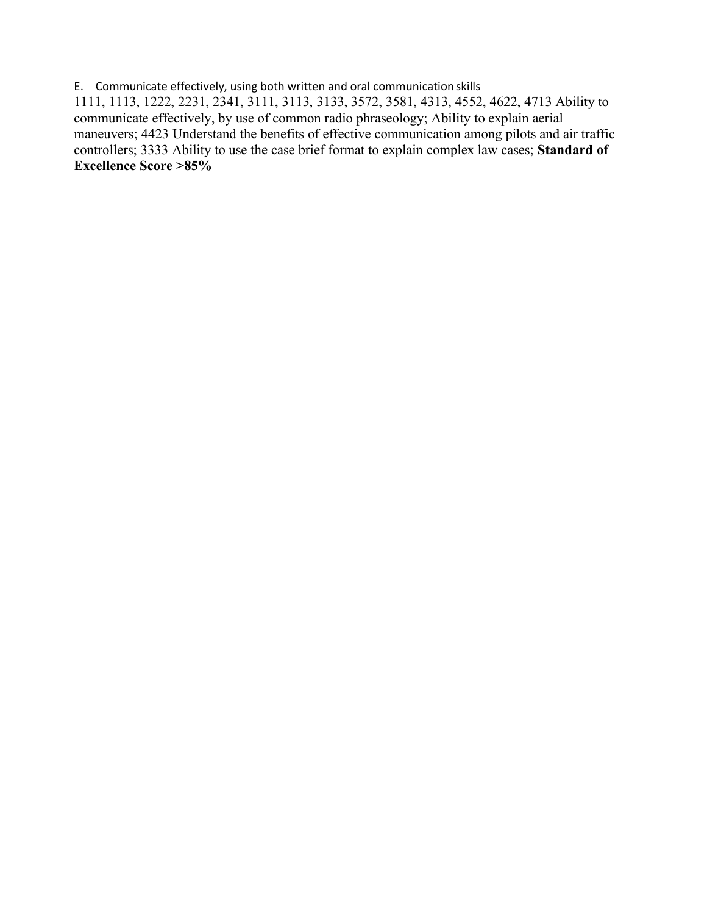E. Communicate effectively, using both written and oral communication skills 1111, 1113, 1222, 2231, 2341, 3111, 3113, 3133, 3572, 3581, 4313, 4552, 4622, 4713 Ability to communicate effectively, by use of common radio phraseology; Ability to explain aerial maneuvers; 4423 Understand the benefits of effective communication among pilots and air traffic controllers; 3333 Ability to use the case brief format to explain complex law cases; **Standard of Excellence Score >85%**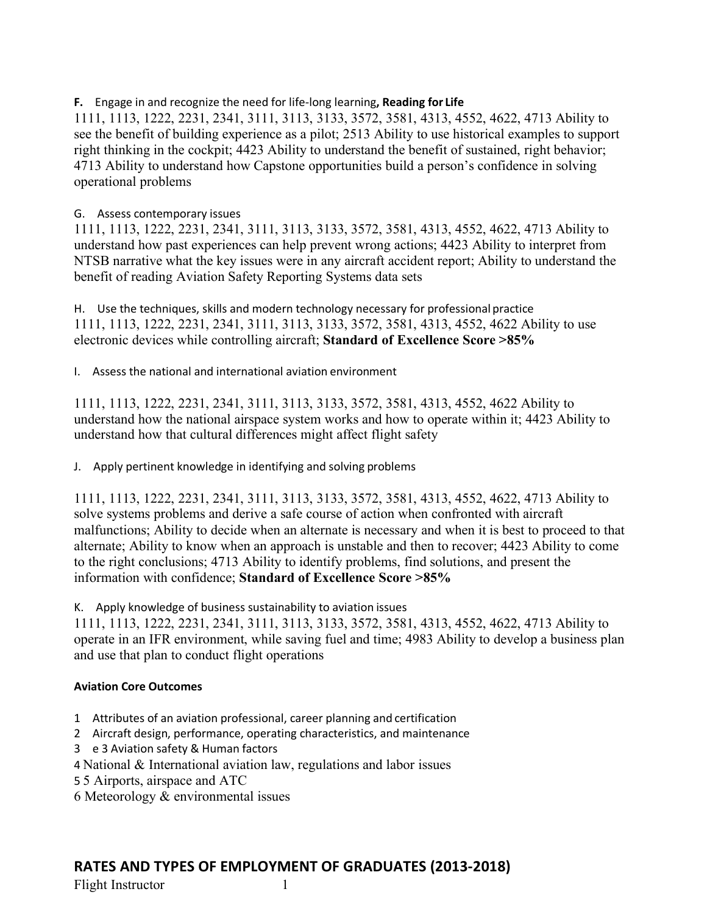### **F.** Engage in and recognize the need for life-long learning**, Reading for Life**

1111, 1113, 1222, 2231, 2341, 3111, 3113, 3133, 3572, 3581, 4313, 4552, 4622, 4713 Ability to see the benefit of building experience as a pilot; 2513 Ability to use historical examples to support right thinking in the cockpit; 4423 Ability to understand the benefit of sustained, right behavior; 4713 Ability to understand how Capstone opportunities build a person's confidence in solving operational problems

### G. Assess contemporary issues

1111, 1113, 1222, 2231, 2341, 3111, 3113, 3133, 3572, 3581, 4313, 4552, 4622, 4713 Ability to understand how past experiences can help prevent wrong actions; 4423 Ability to interpret from NTSB narrative what the key issues were in any aircraft accident report; Ability to understand the benefit of reading Aviation Safety Reporting Systems data sets

H. Use the techniques, skills and modern technology necessary for professional practice 1111, 1113, 1222, 2231, 2341, 3111, 3113, 3133, 3572, 3581, 4313, 4552, 4622 Ability to use electronic devices while controlling aircraft; **Standard of Excellence Score >85%**

I. Assess the national and international aviation environment

1111, 1113, 1222, 2231, 2341, 3111, 3113, 3133, 3572, 3581, 4313, 4552, 4622 Ability to understand how the national airspace system works and how to operate within it; 4423 Ability to understand how that cultural differences might affect flight safety

J. Apply pertinent knowledge in identifying and solving problems

1111, 1113, 1222, 2231, 2341, 3111, 3113, 3133, 3572, 3581, 4313, 4552, 4622, 4713 Ability to solve systems problems and derive a safe course of action when confronted with aircraft malfunctions; Ability to decide when an alternate is necessary and when it is best to proceed to that alternate; Ability to know when an approach is unstable and then to recover; 4423 Ability to come to the right conclusions; 4713 Ability to identify problems, find solutions, and present the information with confidence; **Standard of Excellence Score >85%**

K. Apply knowledge of business sustainability to aviation issues

1111, 1113, 1222, 2231, 2341, 3111, 3113, 3133, 3572, 3581, 4313, 4552, 4622, 4713 Ability to operate in an IFR environment, while saving fuel and time; 4983 Ability to develop a business plan and use that plan to conduct flight operations

### **Aviation Core Outcomes**

- 1 Attributes of an aviation professional, career planning and certification
- 2 Aircraft design, performance, operating characteristics, and maintenance
- 3 e 3 Aviation safety & Human factors
- 4 National & International aviation law, regulations and labor issues
- 5 5 Airports, airspace and ATC
- 6 Meteorology & environmental issues

## **RATES AND TYPES OF EMPLOYMENT OF GRADUATES (2013-2018)**

Flight Instructor 1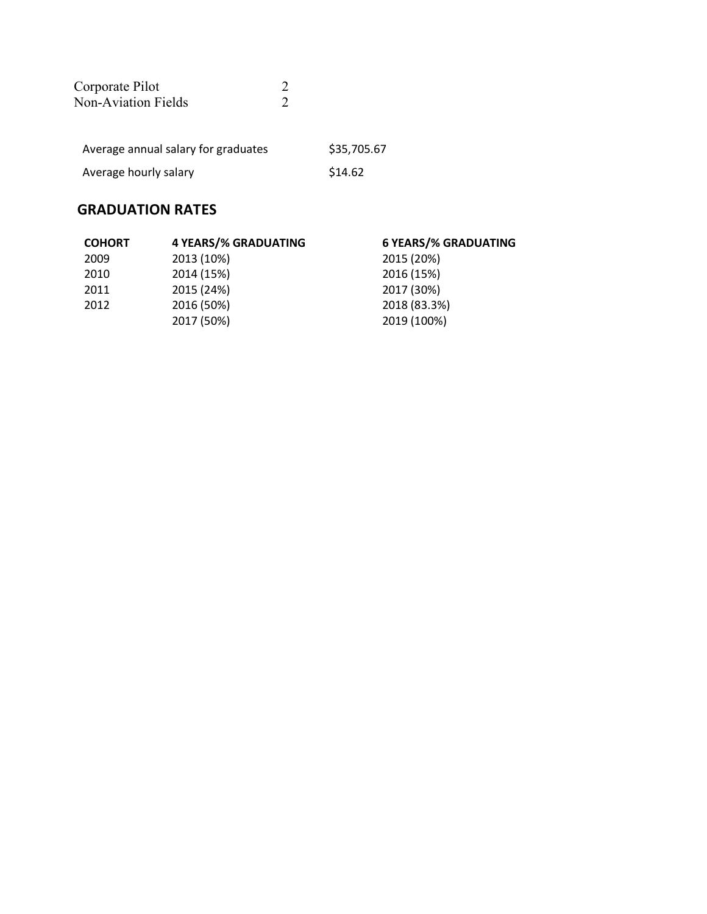| Corporate Pilot                              |  |
|----------------------------------------------|--|
| <b>Non-Aviation Fields</b>                   |  |
|                                              |  |
|                                              |  |
| A service control of collect Control and the |  |

| Average annual salary for graduates | \$35,705.67 |
|-------------------------------------|-------------|
| Average hourly salary               | \$14.62     |

| <b>COHORT</b> | <b>4 YEARS/% GRADUATING</b> | <b>6 YEARS/% GRADUATING</b> |
|---------------|-----------------------------|-----------------------------|
| 2009          | 2013 (10%)                  | 2015 (20%)                  |
| 2010          | 2014 (15%)                  | 2016 (15%)                  |
| 2011          | 2015 (24%)                  | 2017 (30%)                  |
| 2012          | 2016 (50%)                  | 2018 (83.3%)                |
|               | 2017 (50%)                  | 2019 (100%)                 |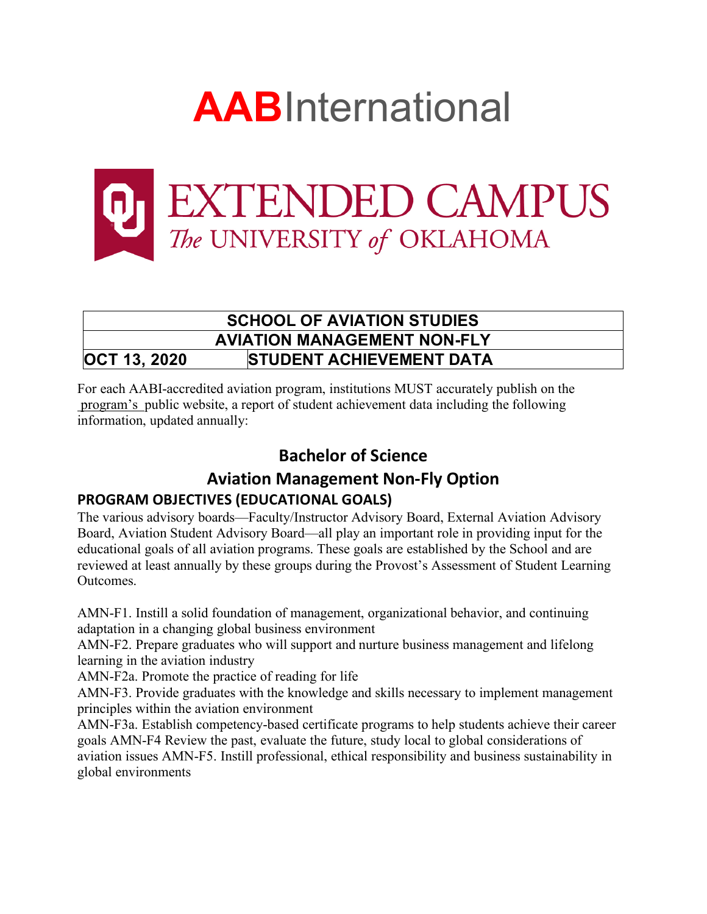



# **SCHOOL OF AVIATION STUDIES AVIATION MANAGEMENT NON-FLY OCT 13, 2020 STUDENT ACHIEVEMENT DATA**

For each AABI-accredited aviation program, institutions MUST accurately publish on the program's public website, a report of student achievement data including the following information, updated annually:

# **Bachelor of Science**

# **Aviation Management Non-Fly Option PROGRAM OBJECTIVES (EDUCATIONAL GOALS)**

The various advisory boards—Faculty/Instructor Advisory Board, External Aviation Advisory Board, Aviation Student Advisory Board—all play an important role in providing input for the educational goals of all aviation programs. These goals are established by the School and are reviewed at least annually by these groups during the Provost's Assessment of Student Learning **Outcomes** 

AMN-F1. Instill a solid foundation of management, organizational behavior, and continuing adaptation in a changing global business environment

AMN-F2. Prepare graduates who will support and nurture business management and lifelong learning in the aviation industry

AMN-F2a. Promote the practice of reading for life

AMN-F3. Provide graduates with the knowledge and skills necessary to implement management principles within the aviation environment

AMN-F3a. Establish competency-based certificate programs to help students achieve their career goals AMN-F4 Review the past, evaluate the future, study local to global considerations of aviation issues AMN-F5. Instill professional, ethical responsibility and business sustainability in global environments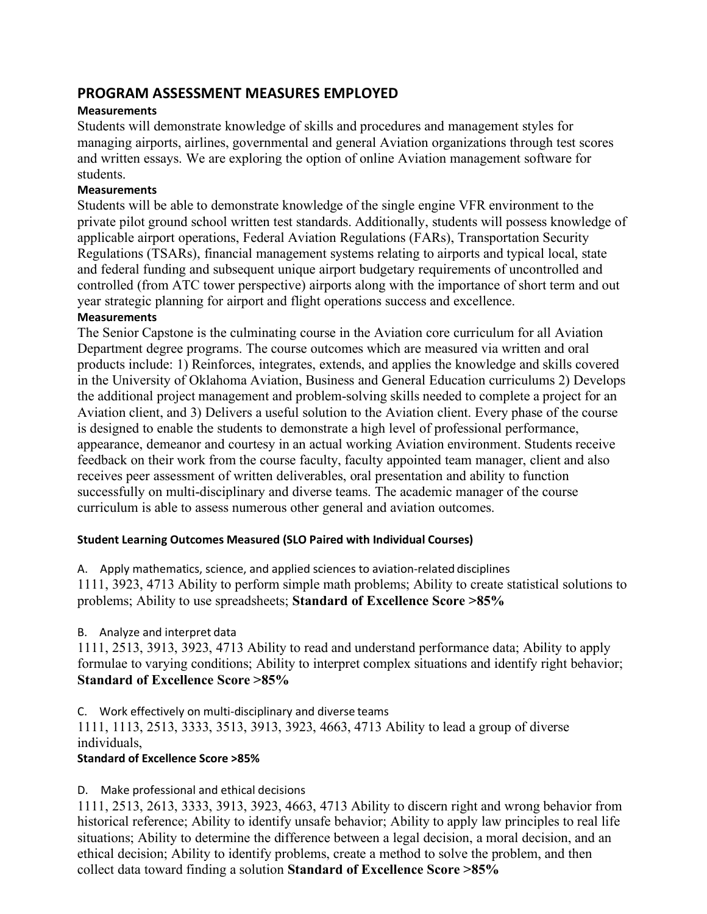## **PROGRAM ASSESSMENT MEASURES EMPLOYED**

### **Measurements**

Students will demonstrate knowledge of skills and procedures and management styles for managing airports, airlines, governmental and general Aviation organizations through test scores and written essays. We are exploring the option of online Aviation management software for students.

### **Measurements**

Students will be able to demonstrate knowledge of the single engine VFR environment to the private pilot ground school written test standards. Additionally, students will possess knowledge of applicable airport operations, Federal Aviation Regulations (FARs), Transportation Security Regulations (TSARs), financial management systems relating to airports and typical local, state and federal funding and subsequent unique airport budgetary requirements of uncontrolled and controlled (from ATC tower perspective) airports along with the importance of short term and out year strategic planning for airport and flight operations success and excellence.

### **Measurements**

The Senior Capstone is the culminating course in the Aviation core curriculum for all Aviation Department degree programs. The course outcomes which are measured via written and oral products include: 1) Reinforces, integrates, extends, and applies the knowledge and skills covered in the University of Oklahoma Aviation, Business and General Education curriculums 2) Develops the additional project management and problem-solving skills needed to complete a project for an Aviation client, and 3) Delivers a useful solution to the Aviation client. Every phase of the course is designed to enable the students to demonstrate a high level of professional performance, appearance, demeanor and courtesy in an actual working Aviation environment. Students receive feedback on their work from the course faculty, faculty appointed team manager, client and also receives peer assessment of written deliverables, oral presentation and ability to function successfully on multi-disciplinary and diverse teams. The academic manager of the course curriculum is able to assess numerous other general and aviation outcomes.

### **Student Learning Outcomes Measured (SLO Paired with Individual Courses)**

A. Apply mathematics, science, and applied sciences to aviation-related disciplines

1111, 3923, 4713 Ability to perform simple math problems; Ability to create statistical solutions to problems; Ability to use spreadsheets; **Standard of Excellence Score >85%**

B. Analyze and interpret data

1111, 2513, 3913, 3923, 4713 Ability to read and understand performance data; Ability to apply formulae to varying conditions; Ability to interpret complex situations and identify right behavior; **Standard of Excellence Score >85%**

C. Work effectively on multi-disciplinary and diverse teams

1111, 1113, 2513, 3333, 3513, 3913, 3923, 4663, 4713 Ability to lead a group of diverse individuals,

### **Standard of Excellence Score >85%**

### D. Make professional and ethical decisions

1111, 2513, 2613, 3333, 3913, 3923, 4663, 4713 Ability to discern right and wrong behavior from historical reference; Ability to identify unsafe behavior; Ability to apply law principles to real life situations; Ability to determine the difference between a legal decision, a moral decision, and an ethical decision; Ability to identify problems, create a method to solve the problem, and then collect data toward finding a solution **Standard of Excellence Score >85%**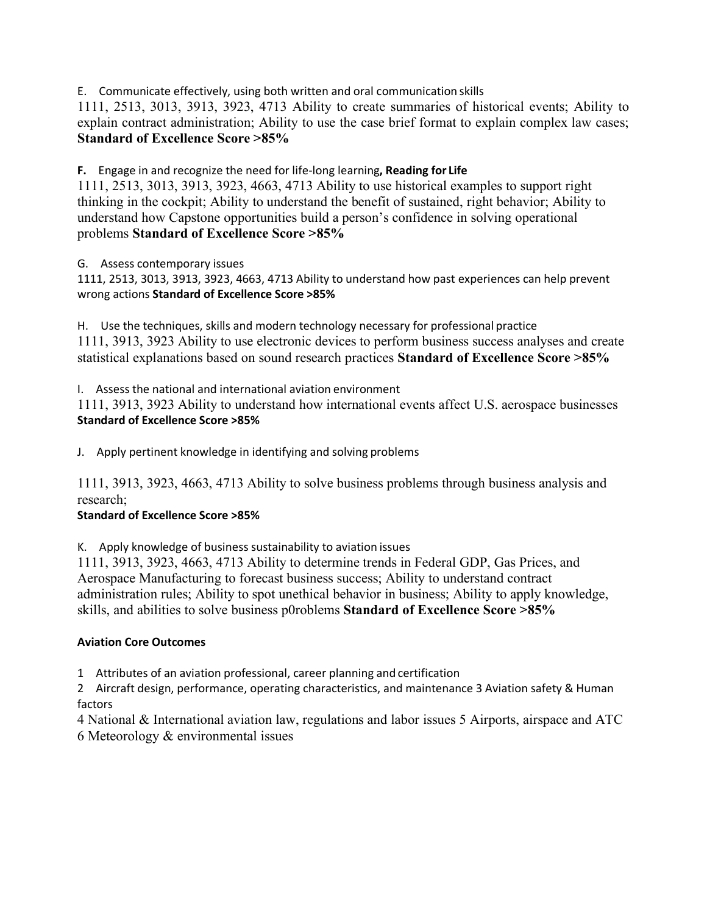E. Communicate effectively, using both written and oral communication skills

1111, 2513, 3013, 3913, 3923, 4713 Ability to create summaries of historical events; Ability to explain contract administration; Ability to use the case brief format to explain complex law cases; **Standard of Excellence Score >85%**

**F.** Engage in and recognize the need for life-long learning**, Reading for Life**

1111, 2513, 3013, 3913, 3923, 4663, 4713 Ability to use historical examples to support right thinking in the cockpit; Ability to understand the benefit of sustained, right behavior; Ability to understand how Capstone opportunities build a person's confidence in solving operational problems **Standard of Excellence Score >85%**

G. Assess contemporary issues

1111, 2513, 3013, 3913, 3923, 4663, 4713 Ability to understand how past experiences can help prevent wrong actions **Standard of Excellence Score >85%**

H. Use the techniques, skills and modern technology necessary for professional practice 1111, 3913, 3923 Ability to use electronic devices to perform business success analyses and create statistical explanations based on sound research practices **Standard of Excellence Score >85%**

I. Assess the national and international aviation environment

1111, 3913, 3923 Ability to understand how international events affect U.S. aerospace businesses **Standard of Excellence Score >85%**

J. Apply pertinent knowledge in identifying and solving problems

1111, 3913, 3923, 4663, 4713 Ability to solve business problems through business analysis and research;

### **Standard of Excellence Score >85%**

K. Apply knowledge of business sustainability to aviation issues

1111, 3913, 3923, 4663, 4713 Ability to determine trends in Federal GDP, Gas Prices, and Aerospace Manufacturing to forecast business success; Ability to understand contract administration rules; Ability to spot unethical behavior in business; Ability to apply knowledge, skills, and abilities to solve business p0roblems **Standard of Excellence Score >85%**

### **Aviation Core Outcomes**

1 Attributes of an aviation professional, career planning and certification

2 Aircraft design, performance, operating characteristics, and maintenance 3 Aviation safety & Human factors

4 National & International aviation law, regulations and labor issues 5 Airports, airspace and ATC 6 Meteorology & environmental issues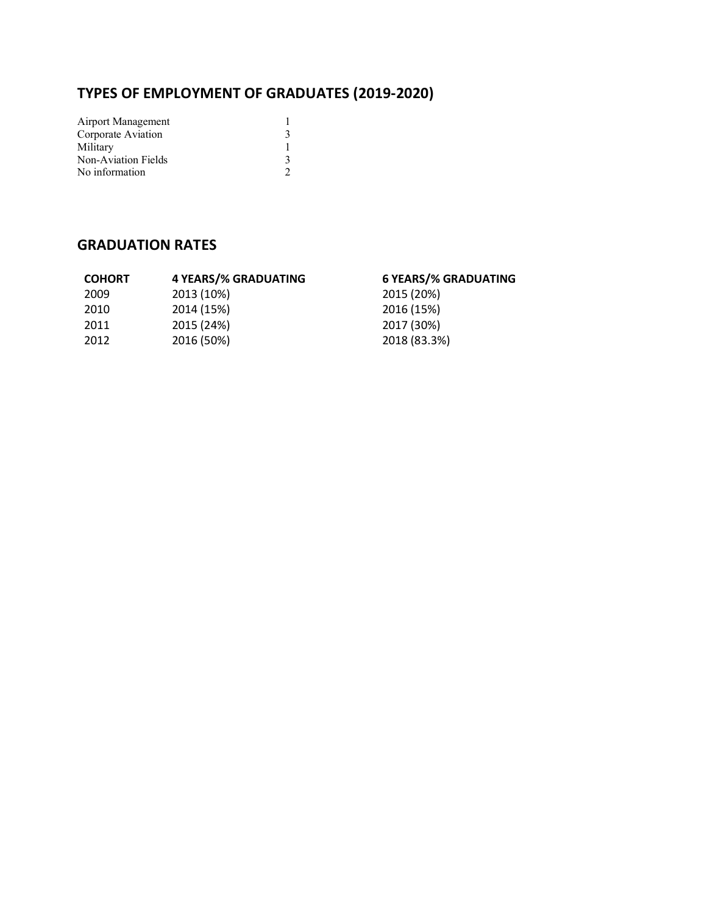# **TYPES OF EMPLOYMENT OF GRADUATES (2019-2020)**

| Airport Management  |   |
|---------------------|---|
| Corporate Aviation  | 3 |
| Military            |   |
| Non-Aviation Fields | 3 |
| No information      | 2 |

| <b>COHORT</b> | <b>4 YEARS/% GRADUATING</b> | <b>6 YEARS/% GRADUATING</b> |
|---------------|-----------------------------|-----------------------------|
| 2009          | 2013 (10%)                  | 2015 (20%)                  |
| 2010          | 2014 (15%)                  | 2016 (15%)                  |
| 2011          | 2015 (24%)                  | 2017 (30%)                  |
| 2012          | 2016 (50%)                  | 2018 (83.3%)                |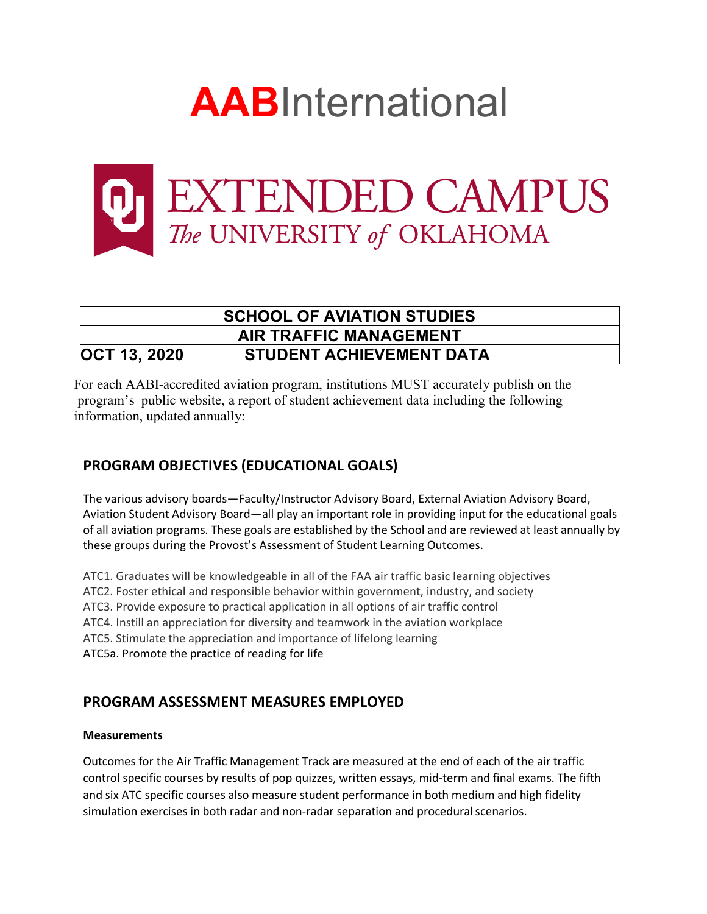



# **SCHOOL OF AVIATION STUDIES AIR TRAFFIC MANAGEMENT OCT 13, 2020 STUDENT ACHIEVEMENT DATA**

For each AABI-accredited aviation program, institutions MUST accurately publish on the program's public website, a report of student achievement data including the following information, updated annually:

# **PROGRAM OBJECTIVES (EDUCATIONAL GOALS)**

The various advisory boards—Faculty/Instructor Advisory Board, External Aviation Advisory Board, Aviation Student Advisory Board—all play an important role in providing input for the educational goals of all aviation programs. These goals are established by the School and are reviewed at least annually by these groups during the Provost's Assessment of Student Learning Outcomes.

ATC1. Graduates will be knowledgeable in all of the FAA air traffic basic learning objectives

ATC2. Foster ethical and responsible behavior within government, industry, and society

ATC3. Provide exposure to practical application in all options of air traffic control

ATC4. Instill an appreciation for diversity and teamwork in the aviation workplace

ATC5. Stimulate the appreciation and importance of lifelong learning

ATC5a. Promote the practice of reading for life

## **PROGRAM ASSESSMENT MEASURES EMPLOYED**

### **Measurements**

Outcomes for the Air Traffic Management Track are measured at the end of each of the air traffic control specific courses by results of pop quizzes, written essays, mid-term and final exams. The fifth and six ATC specific courses also measure student performance in both medium and high fidelity simulation exercises in both radar and non-radar separation and proceduralscenarios.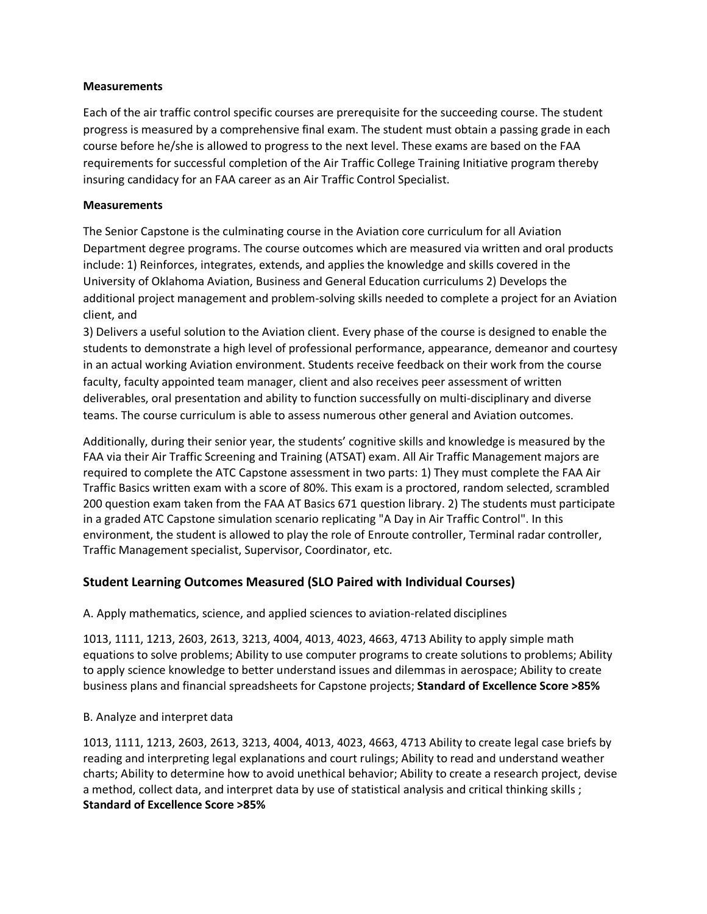#### **Measurements**

Each of the air traffic control specific courses are prerequisite for the succeeding course. The student progress is measured by a comprehensive final exam. The student must obtain a passing grade in each course before he/she is allowed to progress to the next level. These exams are based on the FAA requirements for successful completion of the Air Traffic College Training Initiative program thereby insuring candidacy for an FAA career as an Air Traffic Control Specialist.

#### **Measurements**

The Senior Capstone is the culminating course in the Aviation core curriculum for all Aviation Department degree programs. The course outcomes which are measured via written and oral products include: 1) Reinforces, integrates, extends, and applies the knowledge and skills covered in the University of Oklahoma Aviation, Business and General Education curriculums 2) Develops the additional project management and problem-solving skills needed to complete a project for an Aviation client, and

3) Delivers a useful solution to the Aviation client. Every phase of the course is designed to enable the students to demonstrate a high level of professional performance, appearance, demeanor and courtesy in an actual working Aviation environment. Students receive feedback on their work from the course faculty, faculty appointed team manager, client and also receives peer assessment of written deliverables, oral presentation and ability to function successfully on multi-disciplinary and diverse teams. The course curriculum is able to assess numerous other general and Aviation outcomes.

Additionally, during their senior year, the students' cognitive skills and knowledge is measured by the FAA via their Air Traffic Screening and Training (ATSAT) exam. All Air Traffic Management majors are required to complete the ATC Capstone assessment in two parts: 1) They must complete the FAA Air Traffic Basics written exam with a score of 80%. This exam is a proctored, random selected, scrambled 200 question exam taken from the FAA AT Basics 671 question library. 2) The students must participate in a graded ATC Capstone simulation scenario replicating "A Day in Air Traffic Control". In this environment, the student is allowed to play the role of Enroute controller, Terminal radar controller, Traffic Management specialist, Supervisor, Coordinator, etc.

### **Student Learning Outcomes Measured (SLO Paired with Individual Courses)**

A. Apply mathematics, science, and applied sciences to aviation-related disciplines

1013, 1111, 1213, 2603, 2613, 3213, 4004, 4013, 4023, 4663, 4713 Ability to apply simple math equations to solve problems; Ability to use computer programs to create solutions to problems; Ability to apply science knowledge to better understand issues and dilemmas in aerospace; Ability to create business plans and financial spreadsheets for Capstone projects; **Standard of Excellence Score >85%**

#### B. Analyze and interpret data

1013, 1111, 1213, 2603, 2613, 3213, 4004, 4013, 4023, 4663, 4713 Ability to create legal case briefs by reading and interpreting legal explanations and court rulings; Ability to read and understand weather charts; Ability to determine how to avoid unethical behavior; Ability to create a research project, devise a method, collect data, and interpret data by use of statistical analysis and critical thinking skills ; **Standard of Excellence Score >85%**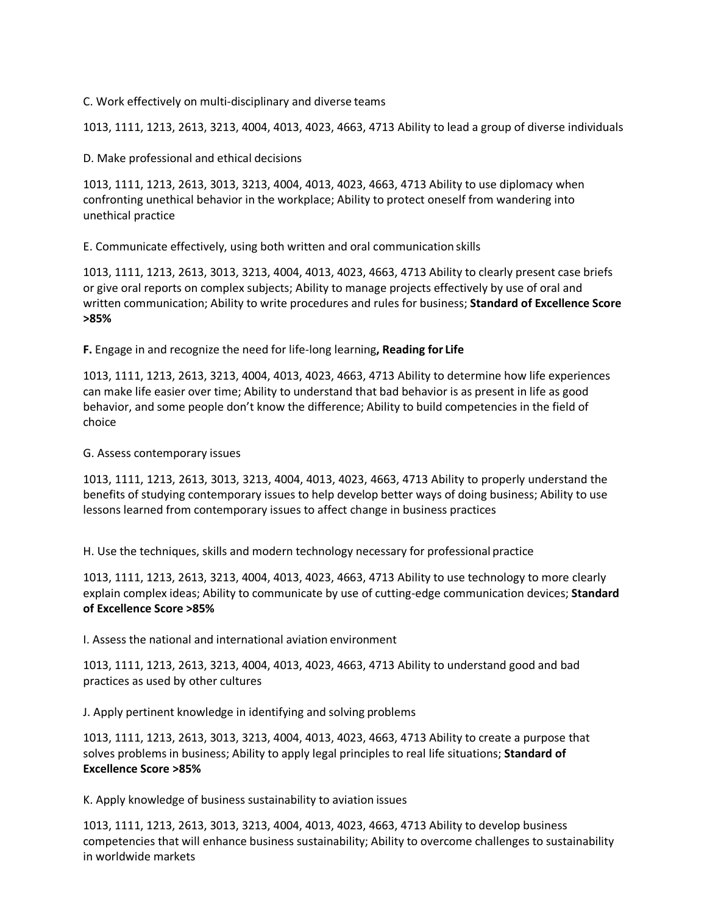C. Work effectively on multi-disciplinary and diverse teams

1013, 1111, 1213, 2613, 3213, 4004, 4013, 4023, 4663, 4713 Ability to lead a group of diverse individuals

D. Make professional and ethical decisions

1013, 1111, 1213, 2613, 3013, 3213, 4004, 4013, 4023, 4663, 4713 Ability to use diplomacy when confronting unethical behavior in the workplace; Ability to protect oneself from wandering into unethical practice

E. Communicate effectively, using both written and oral communication skills

1013, 1111, 1213, 2613, 3013, 3213, 4004, 4013, 4023, 4663, 4713 Ability to clearly present case briefs or give oral reports on complex subjects; Ability to manage projects effectively by use of oral and written communication; Ability to write procedures and rules for business; **Standard of Excellence Score >85%**

**F.** Engage in and recognize the need for life-long learning**, Reading for Life**

1013, 1111, 1213, 2613, 3213, 4004, 4013, 4023, 4663, 4713 Ability to determine how life experiences can make life easier over time; Ability to understand that bad behavior is as present in life as good behavior, and some people don't know the difference; Ability to build competencies in the field of choice

#### G. Assess contemporary issues

1013, 1111, 1213, 2613, 3013, 3213, 4004, 4013, 4023, 4663, 4713 Ability to properly understand the benefits of studying contemporary issues to help develop better ways of doing business; Ability to use lessons learned from contemporary issues to affect change in business practices

H. Use the techniques, skills and modern technology necessary for professional practice

1013, 1111, 1213, 2613, 3213, 4004, 4013, 4023, 4663, 4713 Ability to use technology to more clearly explain complex ideas; Ability to communicate by use of cutting-edge communication devices; **Standard of Excellence Score >85%**

I. Assess the national and international aviation environment

1013, 1111, 1213, 2613, 3213, 4004, 4013, 4023, 4663, 4713 Ability to understand good and bad practices as used by other cultures

J. Apply pertinent knowledge in identifying and solving problems

1013, 1111, 1213, 2613, 3013, 3213, 4004, 4013, 4023, 4663, 4713 Ability to create a purpose that solves problems in business; Ability to apply legal principles to real life situations; **Standard of Excellence Score >85%**

K. Apply knowledge of business sustainability to aviation issues

1013, 1111, 1213, 2613, 3013, 3213, 4004, 4013, 4023, 4663, 4713 Ability to develop business competencies that will enhance business sustainability; Ability to overcome challenges to sustainability in worldwide markets